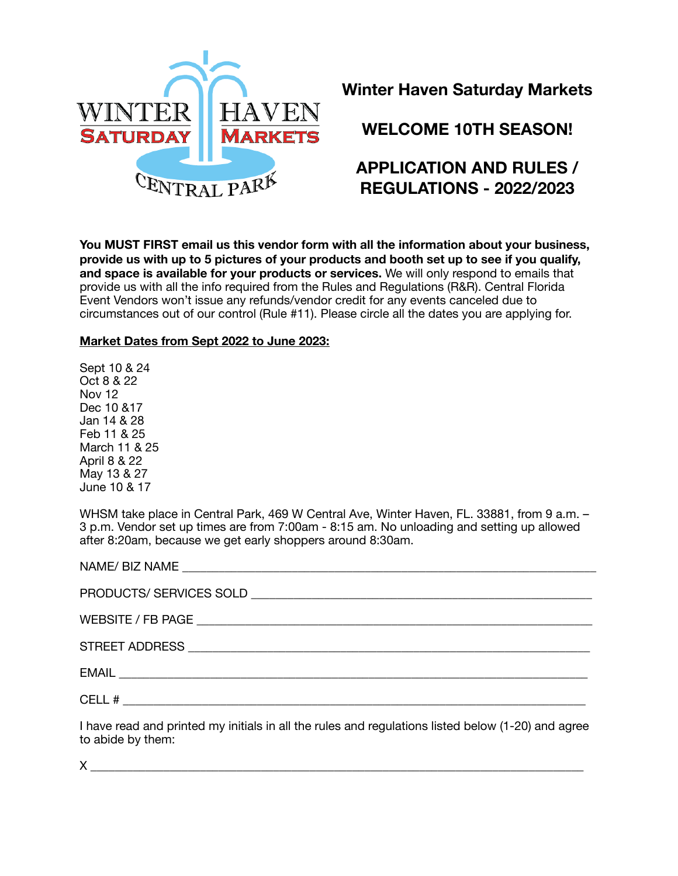

**Winter Haven Saturday Markets**

**WELCOME 10TH SEASON!** 

## **APPLICATION AND RULES / REGULATIONS - 2022/2023**

**You MUST FIRST email us this vendor form with all the information about your business, provide us with up to 5 pictures of your products and booth set up to see if you qualify, and space is available for your products or services.** We will only respond to emails that provide us with all the info required from the Rules and Regulations (R&R). Central Florida Event Vendors won't issue any refunds/vendor credit for any events canceled due to circumstances out of our control (Rule #11). Please circle all the dates you are applying for.

## **Market Dates from Sept 2022 to June 2023:**

Sept 10 & 24 Oct 8 & 22 Nov 12 Dec 10 &17 Jan 14 & 28 Feb 11 & 25 March 11 & 25 April 8 & 22 May 13 & 27 June 10 & 17

WHSM take place in Central Park, 469 W Central Ave, Winter Haven, FL. 33881, from 9 a.m. – 3 p.m. Vendor set up times are from 7:00am - 8:15 am. No unloading and setting up allowed after 8:20am, because we get early shoppers around 8:30am.

I have read and printed my initials in all the rules and regulations listed below (1-20) and agree to abide by them:

 ${\sf X}$   $\_\_$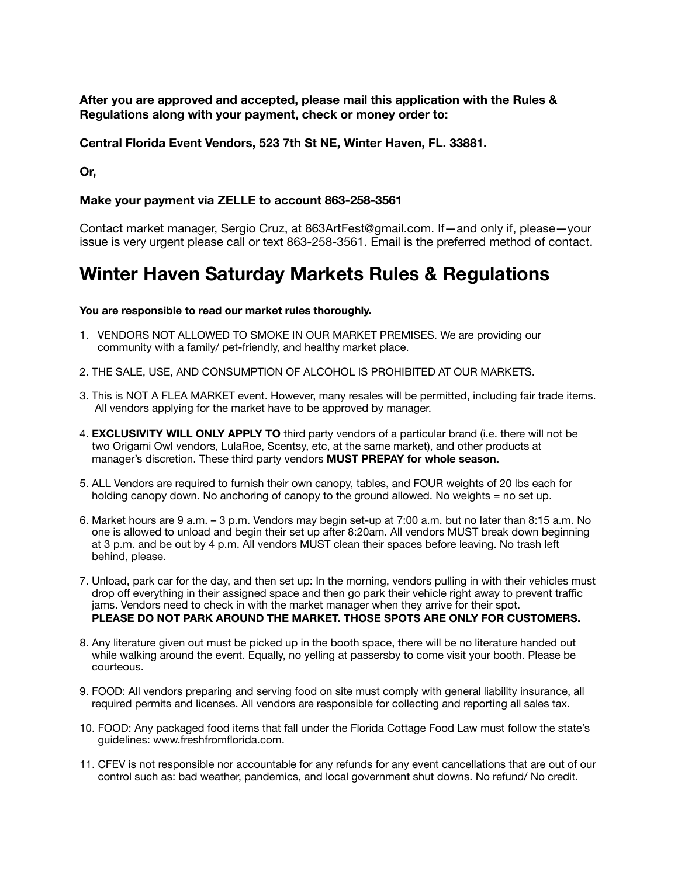**After you are approved and accepted, please mail this application with the Rules & Regulations along with your payment, check or money order to:** 

**Central Florida Event Vendors, 523 7th St NE, Winter Haven, FL. 33881.** 

**Or,** 

### **Make your payment via ZELLE to account 863-258-3561**

Contact market manager, Sergio Cruz, at [863ArtFest@gmail.com](mailto:863ArtFest@gmail.com). If—and only if, please—your issue is very urgent please call or text 863-258-3561. Email is the preferred method of contact.

# **Winter Haven Saturday Markets Rules & Regulations**

### **You are responsible to read our market rules thoroughly.**

- 1. VENDORS NOT ALLOWED TO SMOKE IN OUR MARKET PREMISES. We are providing our community with a family/ pet-friendly, and healthy market place.
- 2. THE SALE, USE, AND CONSUMPTION OF ALCOHOL IS PROHIBITED AT OUR MARKETS.
- 3. This is NOT A FLEA MARKET event. However, many resales will be permitted, including fair trade items. All vendors applying for the market have to be approved by manager.
- 4. **EXCLUSIVITY WILL ONLY APPLY TO** third party vendors of a particular brand (i.e. there will not be two Origami Owl vendors, LulaRoe, Scentsy, etc, at the same market), and other products at manager's discretion. These third party vendors **MUST PREPAY for whole season.**
- 5. ALL Vendors are required to furnish their own canopy, tables, and FOUR weights of 20 lbs each for holding canopy down. No anchoring of canopy to the ground allowed. No weights = no set up.
- 6. Market hours are 9 a.m. 3 p.m. Vendors may begin set-up at 7:00 a.m. but no later than 8:15 a.m. No one is allowed to unload and begin their set up after 8:20am. All vendors MUST break down beginning at 3 p.m. and be out by 4 p.m. All vendors MUST clean their spaces before leaving. No trash left behind, please.
- 7. Unload, park car for the day, and then set up: In the morning, vendors pulling in with their vehicles must drop off everything in their assigned space and then go park their vehicle right away to prevent traffic jams. Vendors need to check in with the market manager when they arrive for their spot. **PLEASE DO NOT PARK AROUND THE MARKET. THOSE SPOTS ARE ONLY FOR CUSTOMERS.**
- 8. Any literature given out must be picked up in the booth space, there will be no literature handed out while walking around the event. Equally, no yelling at passersby to come visit your booth. Please be courteous.
- 9. FOOD: All vendors preparing and serving food on site must comply with general liability insurance, all required permits and licenses. All vendors are responsible for collecting and reporting all sales tax.
- 10. FOOD: Any packaged food items that fall under the Florida Cottage Food Law must follow the state's guidelines: [www.freshfromflorida.com](http://www.freshfromflorida.com/).
- 11. CFEV is not responsible nor accountable for any refunds for any event cancellations that are out of our control such as: bad weather, pandemics, and local government shut downs. No refund/ No credit.